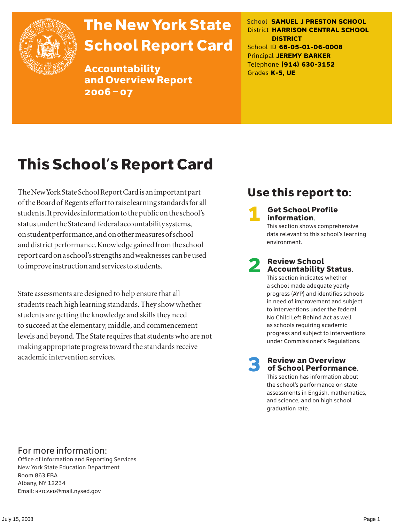

# The New York State School Report Card

Accountability and Overview Report 2006–07

School **SAMUEL J PRESTON SCHOOL** District **HARRISON CENTRAL SCHOOL DISTRICT** School ID **66-05-01-06-0008** Principal **JEREMY BARKER** Telephone **(914) 630-3152** Grades **K-5, UE**

# This School's Report Card

The New York State School Report Card is an important part of the Board of Regents effort to raise learning standards for all students. It provides information to the public on the school's status under the State and federal accountability systems, on student performance, and on other measures of school and district performance. Knowledge gained from the school report card on a school's strengths and weaknesses can be used to improve instruction and services to students.

State assessments are designed to help ensure that all students reach high learning standards. They show whether students are getting the knowledge and skills they need to succeed at the elementary, middle, and commencement levels and beyond. The State requires that students who are not making appropriate progress toward the standards receive academic intervention services.

### Use this report to:

**Get School Profile** information.

This section shows comprehensive data relevant to this school's learning environment.

# 2 Review School Accountability Status.

This section indicates whether a school made adequate yearly progress (AYP) and identifies schools in need of improvement and subject to interventions under the federal No Child Left Behind Act as well as schools requiring academic progress and subject to interventions under Commissioner's Regulations.

**Review an Overview** of School Performance.

This section has information about the school's performance on state assessments in English, mathematics, and science, and on high school graduation rate.

### For more information:

Office of Information and Reporting Services New York State Education Department Room 863 EBA Albany, NY 12234 Email: RPTCARD@mail.nysed.gov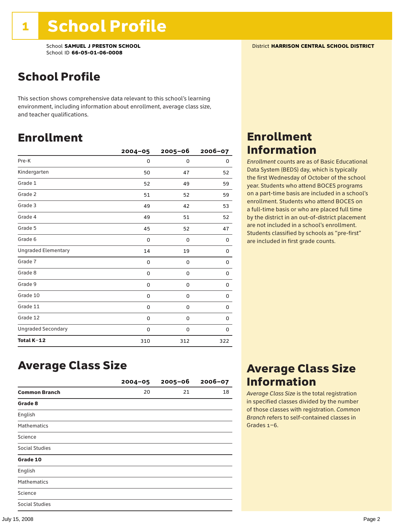School **SAMUEL J PRESTON SCHOOL** District **HARRISON CENTRAL SCHOOL DISTRICT** School ID **66-05-01-06-0008**

### School Profile

This section shows comprehensive data relevant to this school's learning environment, including information about enrollment, average class size, and teacher qualifications.

### Enrollment

|                            | $2004 - 05$ | 2005-06     | 2006-07 |
|----------------------------|-------------|-------------|---------|
| Pre-K                      | 0           | 0           | 0       |
| Kindergarten               | 50          | 47          | 52      |
| Grade 1                    | 52          | 49          | 59      |
| Grade 2                    | 51          | 52          | 59      |
| Grade 3                    | 49          | 42          | 53      |
| Grade 4                    | 49          | 51          | 52      |
| Grade 5                    | 45          | 52          | 47      |
| Grade 6                    | 0           | 0           | 0       |
| <b>Ungraded Elementary</b> | 14          | 19          | 0       |
| Grade 7                    | 0           | $\mathbf 0$ | 0       |
| Grade 8                    | 0           | 0           | 0       |
| Grade 9                    | 0           | 0           | 0       |
| Grade 10                   | 0           | 0           | 0       |
| Grade 11                   | 0           | 0           | 0       |
| Grade 12                   | 0           | 0           | 0       |
| <b>Ungraded Secondary</b>  | 0           | 0           | 0       |
| Total K-12                 | 310         | 312         | 322     |

### Enrollment Information

*Enrollment* counts are as of Basic Educational Data System (BEDS) day, which is typically the first Wednesday of October of the school year. Students who attend BOCES programs on a part-time basis are included in a school's enrollment. Students who attend BOCES on a full-time basis or who are placed full time by the district in an out-of-district placement are not included in a school's enrollment. Students classified by schools as "pre-first" are included in first grade counts.

### Average Class Size

|                       | $2004 - 05$ | $2005 - 06$ | $2006 - 07$ |
|-----------------------|-------------|-------------|-------------|
| <b>Common Branch</b>  | 20          | 21          | 18          |
| Grade 8               |             |             |             |
| English               |             |             |             |
| <b>Mathematics</b>    |             |             |             |
| Science               |             |             |             |
| <b>Social Studies</b> |             |             |             |
| Grade 10              |             |             |             |
| English               |             |             |             |
| <b>Mathematics</b>    |             |             |             |
| Science               |             |             |             |
| <b>Social Studies</b> |             |             |             |

### Average Class Size Information

*Average Class Size* is the total registration in specified classes divided by the number of those classes with registration. *Common Branch* refers to self-contained classes in Grades 1–6.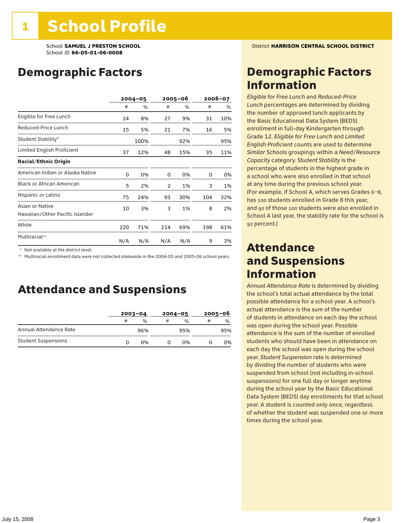### Demographic Factors

|                                                    |     | $2004 - 05$ |                | 2005–06 |     | 2006-07 |  |
|----------------------------------------------------|-----|-------------|----------------|---------|-----|---------|--|
|                                                    | #   | %           | #              | %       | #   | %       |  |
| Eligible for Free Lunch                            | 24  | 8%          | 27             | 9%      | 31  | 10%     |  |
| Reduced-Price Lunch                                | 15  | 5%          | 21             | 7%      | 16  | 5%      |  |
| Student Stability*                                 |     | 100%        |                | 92%     |     | 95%     |  |
| Limited English Proficient                         | 37  | 12%         | 48             | 15%     | 35  | 11%     |  |
| <b>Racial/Ethnic Origin</b>                        |     |             |                |         |     |         |  |
| American Indian or Alaska Native                   | 0   | 0%          | 0              | 0%      | 0   | 0%      |  |
| <b>Black or African American</b>                   | 5   | 2%          | $\overline{2}$ | 1%      | 3   | 1%      |  |
| Hispanic or Latino                                 | 75  | 24%         | 93             | 30%     | 104 | 32%     |  |
| Asian or Native<br>Hawaiian/Other Pacific Islander | 10  | 3%          | 3              | 1%      | 8   | 2%      |  |
| White                                              | 220 | 71%         | 214            | 69%     | 198 | 61%     |  |
| Multiracial**                                      | N/A | N/A         | N/A            | N/A     | 9   | 3%      |  |

\* Not available at the district level.

\*\* Multiracial enrollment data were not collected statewide in the 2004-05 and 2005-06 school years.

### Attendance and Suspensions

|                            |   | $2003 - 04$   |   | $2004 - 05$   | $2005 - 06$ |               |
|----------------------------|---|---------------|---|---------------|-------------|---------------|
|                            | # | $\frac{0}{0}$ | # | $\frac{0}{0}$ | #           | $\frac{0}{0}$ |
| Annual Attendance Rate     |   | 96%           |   | 95%           |             | 95%           |
| <b>Student Suspensions</b> |   | በ%            |   | በ%            |             | 0%            |

### Demographic Factors Information

*Eligible for Free Lunch* and *Reduced*-*Price Lunch* percentages are determined by dividing the number of approved lunch applicants by the Basic Educational Data System (BEDS) enrollment in full-day Kindergarten through Grade 12. *Eligible for Free Lunch* and *Limited English Proficient* counts are used to determine *Similar Schools* groupings within a *Need*/*Resource Capacity* category. *Student Stability* is the percentage of students in the highest grade in a school who were also enrolled in that school at any time during the previous school year. (For example, if School A, which serves Grades 6–8, has 100 students enrolled in Grade 8 this year, and 92 of those 100 students were also enrolled in School A last year, the stability rate for the school is 92 percent.)

### Attendance and Suspensions Information

*Annual Attendance Rate* is determined by dividing the school's total actual attendance by the total possible attendance for a school year. A school's actual attendance is the sum of the number of students in attendance on each day the school was open during the school year. Possible attendance is the sum of the number of enrolled students who should have been in attendance on each day the school was open during the school year. *Student Suspension* rate is determined by dividing the number of students who were suspended from school (not including in-school suspensions) for one full day or longer anytime during the school year by the Basic Educational Data System (BEDS) day enrollments for that school year. A student is counted only once, regardless of whether the student was suspended one or more times during the school year.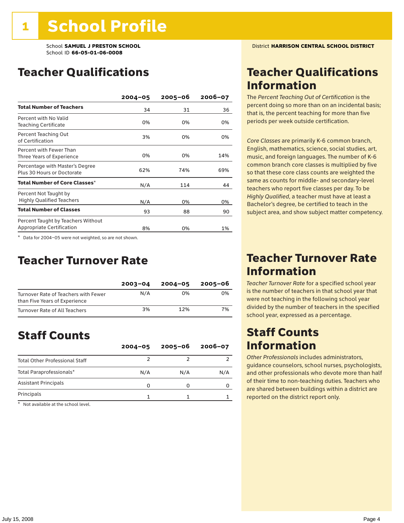### Teacher Qualifications

|                                                                        | $2004 - 05$ | $2005 - 06$ | 2006-07 |
|------------------------------------------------------------------------|-------------|-------------|---------|
| <b>Total Number of Teachers</b>                                        | 34          | 31          | 36      |
| Percent with No Valid<br><b>Teaching Certificate</b>                   | 0%          | 0%          | 0%      |
| Percent Teaching Out<br>of Certification                               | 3%          | 0%          | 0%      |
| Percent with Fewer Than<br>Three Years of Experience                   | 0%          | 0%          | 14%     |
| Percentage with Master's Degree<br>Plus 30 Hours or Doctorate          | 62%         | 74%         | 69%     |
| Total Number of Core Classes*                                          | N/A         | 114         | 44      |
| Percent Not Taught by<br><b>Highly Qualified Teachers</b>              | N/A         | 0%          | 0%      |
| <b>Total Number of Classes</b>                                         | 93          | 88          | 90      |
| Percent Taught by Teachers Without<br><b>Appropriate Certification</b> | 8%          | 0%          | 1%      |

\* Data for 2004–05 were not weighted, so are not shown.

### Teacher Turnover Rate

|                                                                       | $2003 - 04$ | $2004 - 05$ | 2005-06 |
|-----------------------------------------------------------------------|-------------|-------------|---------|
| Turnover Rate of Teachers with Fewer<br>than Five Years of Experience | N/A         | በ%          | 0%      |
| Turnover Rate of All Teachers                                         | 3%          | 12%         | 7%      |

### Staff Counts

|                                       | $2004 - 05$ | $2005 - 06$ | $2006 - 07$ |
|---------------------------------------|-------------|-------------|-------------|
| <b>Total Other Professional Staff</b> |             |             |             |
| Total Paraprofessionals*              | N/A         | N/A         | N/A         |
| <b>Assistant Principals</b>           | n           |             |             |
| Principals                            |             |             |             |

\* Not available at the school level.

### Teacher Qualifications Information

The *Percent Teaching Out of Certification* is the percent doing so more than on an incidental basis; that is, the percent teaching for more than five periods per week outside certification.

*Core Classes* are primarily K-6 common branch, English, mathematics, science, social studies, art, music, and foreign languages. The number of K-6 common branch core classes is multiplied by five so that these core class counts are weighted the same as counts for middle- and secondary-level teachers who report five classes per day. To be *Highly Qualified*, a teacher must have at least a Bachelor's degree, be certified to teach in the subject area, and show subject matter competency.

### Teacher Turnover Rate Information

*Teacher Turnover Rate* for a specified school year is the number of teachers in that school year that were not teaching in the following school year divided by the number of teachers in the specified school year, expressed as a percentage.

### Staff Counts Information

*Other Professionals* includes administrators, guidance counselors, school nurses, psychologists, and other professionals who devote more than half of their time to non-teaching duties. Teachers who are shared between buildings within a district are reported on the district report only.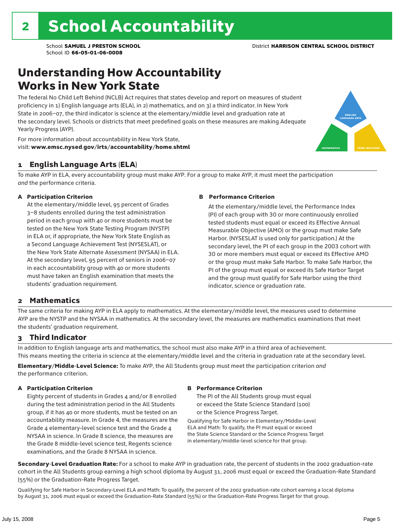### Understanding How Accountability Works in New York State

The federal No Child Left Behind (NCLB) Act requires that states develop and report on measures of student proficiency in 1) English language arts (ELA), in 2) mathematics, and on 3) a third indicator. In New York State in 2006–07, the third indicator is science at the elementary/middle level and graduation rate at the secondary level. Schools or districts that meet predefined goals on these measures are making Adequate Yearly Progress (AYP).



For more information about accountability in New York State, visit: www.emsc.nysed.gov/irts/accountability/home.shtml

#### 1 English Language Arts (ELA)

To make AYP in ELA, every accountability group must make AYP. For a group to make AYP, it must meet the participation *and* the performance criteria.

#### A Participation Criterion

At the elementary/middle level, 95 percent of Grades 3–8 students enrolled during the test administration period in each group with 40 or more students must be tested on the New York State Testing Program (NYSTP) in ELA or, if appropriate, the New York State English as a Second Language Achievement Test (NYSESLAT), or the New York State Alternate Assessment (NYSAA) in ELA. At the secondary level, 95 percent of seniors in 2006–07 in each accountability group with 40 or more students must have taken an English examination that meets the students' graduation requirement.

#### B Performance Criterion

At the elementary/middle level, the Performance Index (PI) of each group with 30 or more continuously enrolled tested students must equal or exceed its Effective Annual Measurable Objective (AMO) or the group must make Safe Harbor. (NYSESLAT is used only for participation.) At the secondary level, the PI of each group in the 2003 cohort with 30 or more members must equal or exceed its Effective AMO or the group must make Safe Harbor. To make Safe Harbor, the PI of the group must equal or exceed its Safe Harbor Target and the group must qualify for Safe Harbor using the third indicator, science or graduation rate.

#### 2 Mathematics

The same criteria for making AYP in ELA apply to mathematics. At the elementary/middle level, the measures used to determine AYP are the NYSTP and the NYSAA in mathematics. At the secondary level, the measures are mathematics examinations that meet the students' graduation requirement.

#### 3 Third Indicator

In addition to English language arts and mathematics, the school must also make AYP in a third area of achievement. This means meeting the criteria in science at the elementary/middle level and the criteria in graduation rate at the secondary level.

Elementary/Middle-Level Science: To make AYP, the All Students group must meet the participation criterion *and* the performance criterion.

#### A Participation Criterion

Eighty percent of students in Grades 4 and/or 8 enrolled during the test administration period in the All Students group, if it has 40 or more students, must be tested on an accountability measure. In Grade 4, the measures are the Grade 4 elementary-level science test and the Grade 4 NYSAA in science. In Grade 8 science, the measures are the Grade 8 middle-level science test, Regents science examinations, and the Grade 8 NYSAA in science.

#### B Performance Criterion

The PI of the All Students group must equal or exceed the State Science Standard (100) or the Science Progress Target.

Qualifying for Safe Harbor in Elementary/Middle-Level ELA and Math: To qualify, the PI must equal or exceed the State Science Standard or the Science Progress Target in elementary/middle-level science for that group.

Secondary-Level Graduation Rate: For a school to make AYP in graduation rate, the percent of students in the 2002 graduation-rate cohort in the All Students group earning a high school diploma by August 31, 2006 must equal or exceed the Graduation-Rate Standard (55%) or the Graduation-Rate Progress Target.

Qualifying for Safe Harbor in Secondary-Level ELA and Math: To qualify, the percent of the 2002 graduation-rate cohort earning a local diploma by August 31, 2006 must equal or exceed the Graduation-Rate Standard (55%) or the Graduation-Rate Progress Target for that group.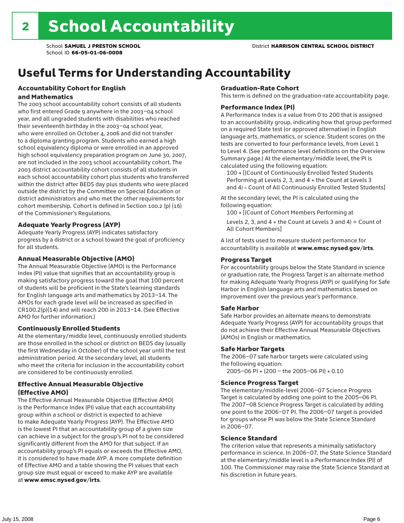# Useful Terms for Understanding Accountability

#### Accountability Cohort for English and Mathematics

The 2003 school accountability cohort consists of all students who first entered Grade 9 anywhere in the 2003–04 school year, and all ungraded students with disabilities who reached their seventeenth birthday in the 2003–04 school year, who were enrolled on October 4, 2006 and did not transfer to a diploma granting program. Students who earned a high school equivalency diploma or were enrolled in an approved high school equivalency preparation program on June 30, 2007, are not included in the 2003 school accountability cohort. The 2003 district accountability cohort consists of all students in each school accountability cohort plus students who transferred within the district after BEDS day plus students who were placed outside the district by the Committee on Special Education or district administrators and who met the other requirements for cohort membership. Cohort is defined in Section 100.2 (p) (16) of the Commissioner's Regulations.

#### Adequate Yearly Progress (AYP)

Adequate Yearly Progress (AYP) indicates satisfactory progress by a district or a school toward the goal of proficiency for all students.

#### Annual Measurable Objective (AMO)

The Annual Measurable Objective (AMO) is the Performance Index (PI) value that signifies that an accountability group is making satisfactory progress toward the goal that 100 percent of students will be proficient in the State's learning standards for English language arts and mathematics by 2013–14. The AMOs for each grade level will be increased as specified in CR100.2(p)(14) and will reach 200 in 2013–14. (See Effective AMO for further information.)

#### Continuously Enrolled Students

At the elementary/middle level, continuously enrolled students are those enrolled in the school or district on BEDS day (usually the first Wednesday in October) of the school year until the test administration period. At the secondary level, all students who meet the criteria for inclusion in the accountability cohort are considered to be continuously enrolled.

#### Effective Annual Measurable Objective (Effective AMO)

The Effective Annual Measurable Objective (Effective AMO) is the Performance Index (PI) value that each accountability group within a school or district is expected to achieve to make Adequate Yearly Progress (AYP). The Effective AMO is the lowest PI that an accountability group of a given size can achieve in a subject for the group's PI not to be considered significantly different from the AMO for that subject. If an accountability group's PI equals or exceeds the Effective AMO, it is considered to have made AYP. A more complete definition of Effective AMO and a table showing the PI values that each group size must equal or exceed to make AYP are available at www.emsc.nysed.gov/irts.

#### Graduation-Rate Cohort

This term is defined on the graduation-rate accountability page.

#### Performance Index (PI)

A Performance Index is a value from 0 to 200 that is assigned to an accountability group, indicating how that group performed on a required State test (or approved alternative) in English language arts, mathematics, or science. Student scores on the tests are converted to four performance levels, from Level 1 to Level 4. (See performance level definitions on the Overview Summary page.) At the elementary/middle level, the PI is calculated using the following equation:

100 × [(Count of Continuously Enrolled Tested Students Performing at Levels 2, 3, and 4 + the Count at Levels 3 and 4) ÷ Count of All Continuously Enrolled Tested Students]

At the secondary level, the PI is calculated using the following equation:

100 × [(Count of Cohort Members Performing at

Levels 2, 3, and 4 + the Count at Levels 3 and 4)  $\div$  Count of All Cohort Members]

A list of tests used to measure student performance for accountability is available at www.emsc.nysed.gov/irts.

#### Progress Target

For accountability groups below the State Standard in science or graduation rate, the Progress Target is an alternate method for making Adequate Yearly Progress (AYP) or qualifying for Safe Harbor in English language arts and mathematics based on improvement over the previous year's performance.

#### Safe Harbor

Safe Harbor provides an alternate means to demonstrate Adequate Yearly Progress (AYP) for accountability groups that do not achieve their Effective Annual Measurable Objectives (AMOs) in English or mathematics.

#### Safe Harbor Targets

The 2006–07 safe harbor targets were calculated using the following equation:

2005–06 PI + (200 – the 2005–06 PI) × 0.10

#### Science Progress Target

The elementary/middle-level 2006–07 Science Progress Target is calculated by adding one point to the 2005–06 PI. The 2007–08 Science Progress Target is calculated by adding one point to the 2006–07 PI. The 2006–07 target is provided for groups whose PI was below the State Science Standard in 2006–07.

#### Science Standard

The criterion value that represents a minimally satisfactory performance in science. In 2006–07, the State Science Standard at the elementary/middle level is a Performance Index (PI) of 100. The Commissioner may raise the State Science Standard at his discretion in future years.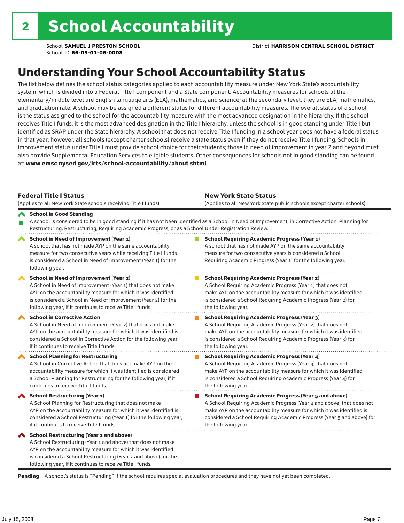### Understanding Your School Accountability Status

The list below defines the school status categories applied to each accountability measure under New York State's accountability system, which is divided into a Federal Title I component and a State component. Accountability measures for schools at the elementary/middle level are English language arts (ELA), mathematics, and science; at the secondary level, they are ELA, mathematics, and graduation rate. A school may be assigned a different status for different accountability measures. The overall status of a school is the status assigned to the school for the accountability measure with the most advanced designation in the hierarchy. If the school receives Title I funds, it is the most advanced designation in the Title I hierarchy, unless the school is in good standing under Title I but identified as SRAP under the State hierarchy. A school that does not receive Title I funding in a school year does not have a federal status in that year; however, all schools (except charter schools) receive a state status even if they do not receive Title I funding. Schools in improvement status under Title I must provide school choice for their students; those in need of improvement in year 2 and beyond must also provide Supplemental Education Services to eligible students. Other consequences for schools not in good standing can be found at: www.emsc.nysed.gov/irts/school-accountability/about.shtml.

| <b>Federal Title I Status</b><br>(Applies to all New York State schools receiving Title I funds)                                                                                                                                                                                                         | <b>New York State Status</b><br>(Applies to all New York State public schools except charter schools)                                                                                                                                                                                                           |
|----------------------------------------------------------------------------------------------------------------------------------------------------------------------------------------------------------------------------------------------------------------------------------------------------------|-----------------------------------------------------------------------------------------------------------------------------------------------------------------------------------------------------------------------------------------------------------------------------------------------------------------|
| School in Good Standing<br>Restructuring, Restructuring, Requiring Academic Progress, or as a School Under Registration Review.                                                                                                                                                                          | A school is considered to be in good standing if it has not been identified as a School in Need of Improvement, in Corrective Action, Planning for                                                                                                                                                              |
| School in Need of Improvement (Year 1)<br>A school that has not made AYP on the same accountability<br>measure for two consecutive years while receiving Title I funds<br>is considered a School in Need of Improvement (Year 1) for the<br>following year.                                              | <b>School Requiring Academic Progress (Year 1)</b><br>A school that has not made AYP on the same accountability<br>measure for two consecutive years is considered a School<br>Requiring Academic Progress (Year 1) for the following year.                                                                     |
| School in Need of Improvement (Year 2)<br>A School in Need of Improvement (Year 1) that does not make<br>AYP on the accountability measure for which it was identified<br>is considered a School in Need of Improvement (Year 2) for the<br>following year, if it continues to receive Title I funds.    | <b>School Requiring Academic Progress (Year 2)</b><br>A School Requiring Academic Progress (Year 1) that does not<br>make AYP on the accountability measure for which it was identified<br>is considered a School Requiring Academic Progress (Year 2) for<br>the following year.                               |
| <b>School in Corrective Action</b><br>A School in Need of Improvement (Year 2) that does not make<br>AYP on the accountability measure for which it was identified is<br>considered a School in Corrective Action for the following year,<br>if it continues to receive Title I funds.                   | <b>School Requiring Academic Progress (Year 3)</b><br>A School Requiring Academic Progress (Year 2) that does not<br>make AYP on the accountability measure for which it was identified<br>is considered a School Requiring Academic Progress (Year 3) for<br>the following year.                               |
| <b>School Planning for Restructuring</b><br>A School in Corrective Action that does not make AYP on the<br>accountability measure for which it was identified is considered<br>a School Planning for Restructuring for the following year, if it<br>continues to receive Title I funds.                  | <b>School Requiring Academic Progress (Year 4)</b><br>A School Requiring Academic Progress (Year 3) that does not<br>make AYP on the accountability measure for which it was identified<br>is considered a School Requiring Academic Progress (Year 4) for<br>the following year.                               |
| School Restructuring (Year 1)<br>A School Planning for Restructuring that does not make<br>AYP on the accountability measure for which it was identified is<br>considered a School Restructuring (Year 1) for the following year,<br>if it continues to receive Title I funds.                           | <b>School Requiring Academic Progress (Year 5 and above)</b><br>A School Requiring Academic Progress (Year 4 and above) that does not<br>make AYP on the accountability measure for which it was identified is<br>considered a School Requiring Academic Progress (Year 5 and above) for<br>the following year. |
| School Restructuring (Year 2 and above)<br>A School Restructuring (Year 1 and above) that does not make<br>AYP on the accountability measure for which it was identified<br>is considered a School Restructuring (Year 2 and above) for the<br>following year, if it continues to receive Title I funds. |                                                                                                                                                                                                                                                                                                                 |

Pending - A school's status is "Pending" if the school requires special evaluation procedures and they have not yet been completed.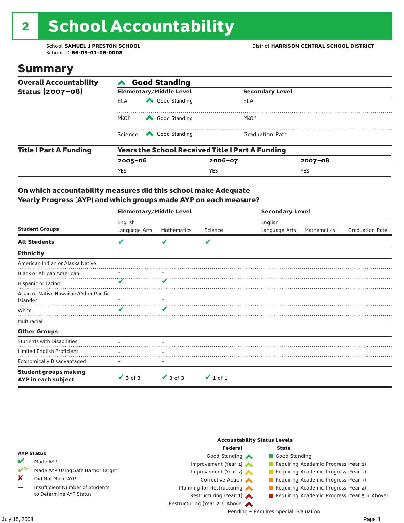# 2 School Accountability

School ID **66-05-01-06-0008**

### Summary

| <b>Overall Accountability</b> | <b>Good Standing</b>                                    |                                                                                                                                                                                                                                                                                                                                        |                        |                        |  |  |  |
|-------------------------------|---------------------------------------------------------|----------------------------------------------------------------------------------------------------------------------------------------------------------------------------------------------------------------------------------------------------------------------------------------------------------------------------------------|------------------------|------------------------|--|--|--|
| Status (2007-08)              |                                                         | <b>Elementary/Middle Level</b>                                                                                                                                                                                                                                                                                                         |                        | <b>Secondary Level</b> |  |  |  |
|                               | <b>ELA</b>                                              | Good Standing                                                                                                                                                                                                                                                                                                                          | ELA                    |                        |  |  |  |
|                               | Math<br>Good Standing                                   |                                                                                                                                                                                                                                                                                                                                        | Math                   |                        |  |  |  |
|                               |                                                         | Science <a> Science</a> Science Science Science <a> Science <a> Science <a> Science <a> Science <a> Science <a> Science <a> Science <a> Science <a> Science <a> Science <a<br></a<br> Science <a> Science <a> Science <a<br <="" td=""><td><b>Graduation Rate</b></td><td></td></a<br></a></a></a></a></a></a></a></a></a></a></a></a> | <b>Graduation Rate</b> |                        |  |  |  |
| <b>Title I Part A Funding</b> | <b>Years the School Received Title I Part A Funding</b> |                                                                                                                                                                                                                                                                                                                                        |                        |                        |  |  |  |
|                               | $2005 - 06$                                             |                                                                                                                                                                                                                                                                                                                                        | $2006 - 07$            | $2007 - 08$            |  |  |  |
|                               | YES                                                     |                                                                                                                                                                                                                                                                                                                                        | <b>YES</b>             | <b>YES</b>             |  |  |  |

#### On which accountability measures did this school make Adequate Yearly Progress (AYP) and which groups made AYP on each measure?

|                                                     | <b>Elementary/Middle Level</b> |               |               | <b>Secondary Level</b> |             |                        |  |
|-----------------------------------------------------|--------------------------------|---------------|---------------|------------------------|-------------|------------------------|--|
|                                                     | English                        |               |               | English                |             |                        |  |
| <b>Student Groups</b>                               | Language Arts                  | Mathematics   | Science       | Language Arts          | Mathematics | <b>Graduation Rate</b> |  |
| <b>All Students</b>                                 | V                              | v             | V             |                        |             |                        |  |
| <b>Ethnicity</b>                                    |                                |               |               |                        |             |                        |  |
| American Indian or Alaska Native                    |                                |               |               |                        |             |                        |  |
| <b>Black or African American</b>                    |                                |               |               |                        |             |                        |  |
| Hispanic or Latino                                  | V                              |               |               |                        |             |                        |  |
| Asian or Native Hawaiian/Other Pacific<br>Islander  |                                |               |               |                        |             |                        |  |
| White                                               | ✔                              | V             |               |                        |             |                        |  |
| Multiracial                                         |                                |               |               |                        |             |                        |  |
| <b>Other Groups</b>                                 |                                |               |               |                        |             |                        |  |
| <b>Students with Disabilities</b>                   |                                |               |               |                        |             |                        |  |
| Limited English Proficient                          |                                |               |               |                        |             |                        |  |
| <b>Economically Disadvantaged</b>                   |                                |               |               |                        |             |                        |  |
| <b>Student groups making</b><br>AYP in each subject | $\vee$ 3 of 3                  | $\vee$ 3 of 3 | $\vee$ 1 of 1 |                        |             |                        |  |

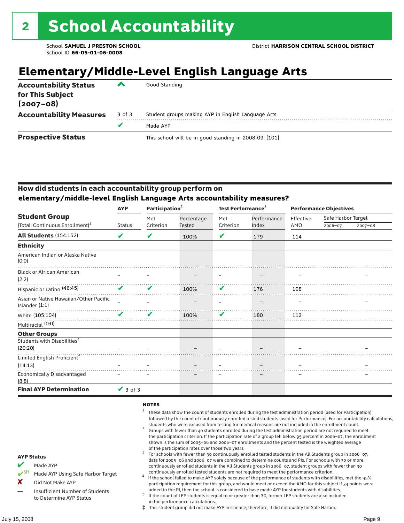## **Elementary/Middle-Level English Language Arts**

| <b>Accountability Status</b><br>for This Subject<br>$(2007 - 08)$ | ▰      | Good Standing                                          |
|-------------------------------------------------------------------|--------|--------------------------------------------------------|
| <b>Accountability Measures</b>                                    | 3 of 3 | Student groups making AYP in English Language Arts     |
|                                                                   |        | Made AYP                                               |
| <b>Prospective Status</b>                                         |        | This school will be in good standing in 2008-09. [101] |

#### How did students in each accountability group perform on **elementary/middle-level English Language Arts accountability measures?**

|                                                          | <b>AYP</b>    | Participation <sup>2</sup> |            | Test Performance <sup>3</sup> |             | <b>Performance Objectives</b> |                    |             |
|----------------------------------------------------------|---------------|----------------------------|------------|-------------------------------|-------------|-------------------------------|--------------------|-------------|
| <b>Student Group</b>                                     |               | Met                        | Percentage | Met                           | Performance | Effective                     | Safe Harbor Target |             |
| (Total: Continuous Enrollment) <sup>1</sup>              | <b>Status</b> | Criterion                  | Tested     | Criterion                     | Index       | AMO                           | 2006-07            | $2007 - 08$ |
| <b>All Students (154:152)</b>                            | V             | ✔                          | 100%       | ✔                             | 179         | 114                           |                    |             |
| <b>Ethnicity</b>                                         |               |                            |            |                               |             |                               |                    |             |
| American Indian or Alaska Native<br>(0:0)                |               |                            |            |                               |             |                               |                    |             |
| <b>Black or African American</b><br>(2:2)                |               |                            |            |                               |             |                               |                    |             |
| Hispanic or Latino (46:45)                               | ✔             | V                          | 100%       | V                             | 176         | 108                           |                    |             |
| Asian or Native Hawaiian/Other Pacific<br>Islander (1:1) |               |                            |            |                               |             |                               |                    |             |
| White (105:104)                                          | ✔             | ✔                          | 100%       | V                             | 180         | 112                           |                    |             |
| Multiracial (0:0)                                        |               |                            |            |                               |             |                               |                    |             |
| <b>Other Groups</b>                                      |               |                            |            |                               |             |                               |                    |             |
| Students with Disabilities <sup>4</sup><br>(20:20)       |               |                            |            |                               |             |                               |                    |             |
| Limited English Proficient <sup>5</sup>                  |               |                            |            |                               |             |                               |                    |             |
| (14:13)                                                  |               |                            |            |                               |             |                               |                    |             |
| Economically Disadvantaged<br>(8:8)                      |               |                            |            |                               |             |                               |                    |             |
| <b>Final AYP Determination</b>                           | $\vee$ 3 of 3 |                            |            |                               |             |                               |                    |             |

#### **NOTES**

- $1$  These data show the count of students enrolled during the test administration period (used for Participation) followed by the count of continuously enrolled tested students (used for Performance). For accountability calculations,
- students who were excused from testing for medical reasons are not included in the enrollment count. <sup>2</sup> Groups with fewer than 40 students enrolled during the test administration period are not required to meet the participation criterion. If the participation rate of a group fell below 95 percent in 2006–07, the enrollment shown is the sum of 2005–06 and 2006–07 enrollments and the percent tested is the weighted average
- of the participation rates over those two years.<br><sup>3</sup> For schools with fewer than 30 continuously enrolled tested students in the All Students group in 2006–07, data for 2005–06 and 2006–07 were combined to determine counts and PIs. For schools with 30 or more continuously enrolled students in the All Students group in 2006–07, student groups with fewer than 30
- continuously enrolled tested students are not required to meet the performance criterion. <sup>4</sup> If the school failed to make AYP solely because of the performance of students with disabilities, met the 95% participation requirement for this group, and would meet or exceed the AMO for this subject if 34 points were added to the PI, then the school is considered to have made AYP for students with disabilities.
- $5$  If the count of LEP students is equal to or greater than 30, former LEP students are also included in the performance calculations.
- ‡ This student group did not make AYP in science; therefore, it did not qualify for Safe Harbor.

AYP Status Made AYP

X Did Not Make AYP

Made AYP Using Safe Harbor Target

Insufficient Number of Students to Determine AYP Status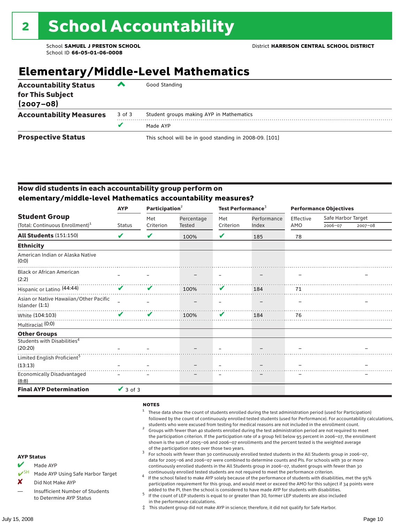### **Elementary/Middle-Level Mathematics**

| <b>Accountability Status</b><br>for This Subject<br>$(2007 - 08)$ | ‴      | Good Standing                                          |
|-------------------------------------------------------------------|--------|--------------------------------------------------------|
| <b>Accountability Measures</b>                                    | 3 of 3 | Student groups making AYP in Mathematics               |
|                                                                   |        | Made AYP                                               |
| <b>Prospective Status</b>                                         |        | This school will be in good standing in 2008-09. [101] |

#### How did students in each accountability group perform on **elementary/middle-level Mathematics accountability measures?**

|                                                          | <b>AYP</b>    | Participation <sup>2</sup> |            | Test Performance <sup>3</sup> |             | <b>Performance Objectives</b> |                    |             |  |
|----------------------------------------------------------|---------------|----------------------------|------------|-------------------------------|-------------|-------------------------------|--------------------|-------------|--|
| <b>Student Group</b>                                     |               | Met                        | Percentage | Met                           | Performance | Effective                     | Safe Harbor Target |             |  |
| (Total: Continuous Enrollment) <sup>1</sup>              | <b>Status</b> | Criterion                  | Tested     | Criterion                     | Index       | AMO                           | 2006-07            | $2007 - 08$ |  |
| <b>All Students (151:150)</b>                            | V             | V                          | 100%       | V                             | 185         | 78                            |                    |             |  |
| <b>Ethnicity</b>                                         |               |                            |            |                               |             |                               |                    |             |  |
| American Indian or Alaska Native<br>(0:0)                |               |                            |            |                               |             |                               |                    |             |  |
| <b>Black or African American</b><br>(2:2)                |               |                            |            |                               |             |                               |                    |             |  |
| Hispanic or Latino (44:44)                               | ✔             | V                          | 100%       | V                             | 184         | 71                            |                    |             |  |
| Asian or Native Hawaiian/Other Pacific<br>Islander (1:1) |               |                            |            |                               |             |                               |                    |             |  |
| White (104:103)                                          |               | V                          | 100%       | V                             | 184         | 76                            |                    |             |  |
| Multiracial (0:0)                                        |               |                            |            |                               |             |                               |                    |             |  |
| <b>Other Groups</b>                                      |               |                            |            |                               |             |                               |                    |             |  |
| Students with Disabilities <sup>4</sup>                  |               |                            |            |                               |             |                               |                    |             |  |
| (20:20)                                                  |               |                            |            |                               |             |                               |                    |             |  |
| Limited English Proficient <sup>5</sup>                  |               |                            |            |                               |             |                               |                    |             |  |
| (13:13)                                                  |               |                            |            |                               |             |                               |                    |             |  |
| <b>Economically Disadvantaged</b><br>(8:8)               |               |                            |            |                               |             |                               |                    |             |  |
| <b>Final AYP Determination</b>                           | $\vee$ 3 of 3 |                            |            |                               |             |                               |                    |             |  |

#### **NOTES**

- $1$  These data show the count of students enrolled during the test administration period (used for Participation) followed by the count of continuously enrolled tested students (used for Performance). For accountability calculations,
- students who were excused from testing for medical reasons are not included in the enrollment count. <sup>2</sup> Groups with fewer than 40 students enrolled during the test administration period are not required to meet the participation criterion. If the participation rate of a group fell below 95 percent in 2006–07, the enrollment shown is the sum of 2005–06 and 2006–07 enrollments and the percent tested is the weighted average
- of the participation rates over those two years.<br><sup>3</sup> For schools with fewer than 30 continuously enrolled tested students in the All Students group in 2006–07, data for 2005–06 and 2006–07 were combined to determine counts and PIs. For schools with 30 or more continuously enrolled students in the All Students group in 2006–07, student groups with fewer than 30
- continuously enrolled tested students are not required to meet the performance criterion. <sup>4</sup> If the school failed to make AYP solely because of the performance of students with disabilities, met the 95% participation requirement for this group, and would meet or exceed the AMO for this subject if 34 points were added to the PI, then the school is considered to have made AYP for students with disabilities.
- $5$  If the count of LEP students is equal to or greater than 30, former LEP students are also included in the performance calculations.
- ‡ This student group did not make AYP in science; therefore, it did not qualify for Safe Harbor.
- Made AYP
	- Made AYP Using Safe Harbor Target
- X Did Not Make AYP
- Insufficient Number of Students to Determine AYP Status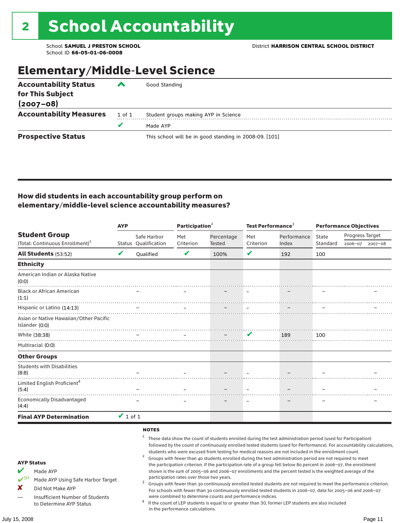### Elementary/Middle-Level Science

| <b>Accountability Status</b><br>for This Subject<br>$(2007 - 08)$ | ‴      | Good Standing                                          |
|-------------------------------------------------------------------|--------|--------------------------------------------------------|
|                                                                   |        |                                                        |
| <b>Accountability Measures</b>                                    | 1 of 1 | Student groups making AYP in Science                   |
|                                                                   | v      | Made AYP                                               |
| <b>Prospective Status</b>                                         |        | This school will be in good standing in 2008-09. [101] |

#### How did students in each accountability group perform on elementary/middle-level science accountability measures?

|                                                                                                                                                                                   | <b>AYP</b>    |                                                   | Participation <sup>2</sup>                                                    |                                                            | Test Performance <sup>3</sup> |                                                                                                                                                                                                                                                                                                                                                                                                                                                                                                                                                                                                                                                                              | <b>Performance Objectives</b> |                                                                                                                                                                                                                                                                                                                                                                 |  |
|-----------------------------------------------------------------------------------------------------------------------------------------------------------------------------------|---------------|---------------------------------------------------|-------------------------------------------------------------------------------|------------------------------------------------------------|-------------------------------|------------------------------------------------------------------------------------------------------------------------------------------------------------------------------------------------------------------------------------------------------------------------------------------------------------------------------------------------------------------------------------------------------------------------------------------------------------------------------------------------------------------------------------------------------------------------------------------------------------------------------------------------------------------------------|-------------------------------|-----------------------------------------------------------------------------------------------------------------------------------------------------------------------------------------------------------------------------------------------------------------------------------------------------------------------------------------------------------------|--|
| <b>Student Group</b>                                                                                                                                                              |               | Safe Harbor                                       | Met                                                                           | Percentage                                                 | Met                           | Performance                                                                                                                                                                                                                                                                                                                                                                                                                                                                                                                                                                                                                                                                  | State                         | Progress Target                                                                                                                                                                                                                                                                                                                                                 |  |
| (Total: Continuous Enrollment) <sup>1</sup>                                                                                                                                       |               | Status Qualification                              | Criterion                                                                     | Tested                                                     | Criterion                     | Index                                                                                                                                                                                                                                                                                                                                                                                                                                                                                                                                                                                                                                                                        | Standard                      | 2006-07 2007-08                                                                                                                                                                                                                                                                                                                                                 |  |
| <b>All Students (53:52)</b>                                                                                                                                                       | V             | Oualified                                         | V                                                                             | 100%                                                       | V                             | 192                                                                                                                                                                                                                                                                                                                                                                                                                                                                                                                                                                                                                                                                          | 100                           |                                                                                                                                                                                                                                                                                                                                                                 |  |
| <b>Ethnicity</b>                                                                                                                                                                  |               |                                                   |                                                                               |                                                            |                               |                                                                                                                                                                                                                                                                                                                                                                                                                                                                                                                                                                                                                                                                              |                               |                                                                                                                                                                                                                                                                                                                                                                 |  |
| American Indian or Alaska Native<br>(0:0)                                                                                                                                         |               |                                                   |                                                                               |                                                            |                               |                                                                                                                                                                                                                                                                                                                                                                                                                                                                                                                                                                                                                                                                              |                               |                                                                                                                                                                                                                                                                                                                                                                 |  |
| <b>Black or African American</b><br>(1:1)                                                                                                                                         |               |                                                   |                                                                               |                                                            |                               |                                                                                                                                                                                                                                                                                                                                                                                                                                                                                                                                                                                                                                                                              |                               |                                                                                                                                                                                                                                                                                                                                                                 |  |
| Hispanic or Latino (14:13)                                                                                                                                                        |               | $\equiv$                                          |                                                                               |                                                            |                               |                                                                                                                                                                                                                                                                                                                                                                                                                                                                                                                                                                                                                                                                              |                               |                                                                                                                                                                                                                                                                                                                                                                 |  |
| Asian or Native Hawaiian/Other Pacific<br>Islander (0:0)                                                                                                                          |               |                                                   |                                                                               |                                                            |                               |                                                                                                                                                                                                                                                                                                                                                                                                                                                                                                                                                                                                                                                                              |                               |                                                                                                                                                                                                                                                                                                                                                                 |  |
| White (38:38)                                                                                                                                                                     |               |                                                   |                                                                               | $\sim$                                                     | V                             | 189                                                                                                                                                                                                                                                                                                                                                                                                                                                                                                                                                                                                                                                                          | 100                           |                                                                                                                                                                                                                                                                                                                                                                 |  |
| Multiracial (0:0)                                                                                                                                                                 |               |                                                   |                                                                               |                                                            |                               |                                                                                                                                                                                                                                                                                                                                                                                                                                                                                                                                                                                                                                                                              |                               |                                                                                                                                                                                                                                                                                                                                                                 |  |
| <b>Other Groups</b>                                                                                                                                                               |               |                                                   |                                                                               |                                                            |                               |                                                                                                                                                                                                                                                                                                                                                                                                                                                                                                                                                                                                                                                                              |                               |                                                                                                                                                                                                                                                                                                                                                                 |  |
| <b>Students with Disabilities</b><br>(8:8)                                                                                                                                        |               |                                                   |                                                                               |                                                            |                               |                                                                                                                                                                                                                                                                                                                                                                                                                                                                                                                                                                                                                                                                              |                               |                                                                                                                                                                                                                                                                                                                                                                 |  |
| Limited English Proficient <sup>4</sup><br>(5:4)                                                                                                                                  |               |                                                   |                                                                               |                                                            |                               |                                                                                                                                                                                                                                                                                                                                                                                                                                                                                                                                                                                                                                                                              |                               |                                                                                                                                                                                                                                                                                                                                                                 |  |
| <b>Economically Disadvantaged</b><br>(4:4)                                                                                                                                        |               |                                                   |                                                                               |                                                            |                               |                                                                                                                                                                                                                                                                                                                                                                                                                                                                                                                                                                                                                                                                              |                               |                                                                                                                                                                                                                                                                                                                                                                 |  |
| <b>Final AYP Determination</b>                                                                                                                                                    | $\vee$ 1 of 1 |                                                   |                                                                               |                                                            |                               |                                                                                                                                                                                                                                                                                                                                                                                                                                                                                                                                                                                                                                                                              |                               |                                                                                                                                                                                                                                                                                                                                                                 |  |
| <b>AYP Status</b><br>V<br>Made AYP<br>$V^{\text{SH}}$<br>Made AYP Using Safe Harbor Target<br>X<br>Did Not Make AYP<br>Insufficient Number of Students<br>to Determine AYP Status |               | <b>NOTES</b><br>1<br>$\overline{\mathbf{c}}$<br>3 | participation rates over those two years.<br>in the performance calculations. | were combined to determine counts and performance indices. |                               | These data show the count of students enrolled during the test administration period (used for Participation)<br>students who were excused from testing for medical reasons are not included in the enrollment count.<br>Groups with fewer than 40 students enrolled during the test administration period are not required to meet<br>the participation criterion. If the participation rate of a group fell below 80 percent in 2006-07, the enrollment<br>shown is the sum of 2005-06 and 2006-07 enrollments and the percent tested is the weighted average of the<br>If the count of LEP students is equal to or greater than 30, former LEP students are also included |                               | followed by the count of continuously enrolled tested students (used for Performance). For accountability calculations,<br>Groups with fewer than 30 continuously enrolled tested students are not required to meet the performance criterion.<br>For schools with fewer than 30 continuously enrolled tested students in 2006-07, data for 2005-06 and 2006-07 |  |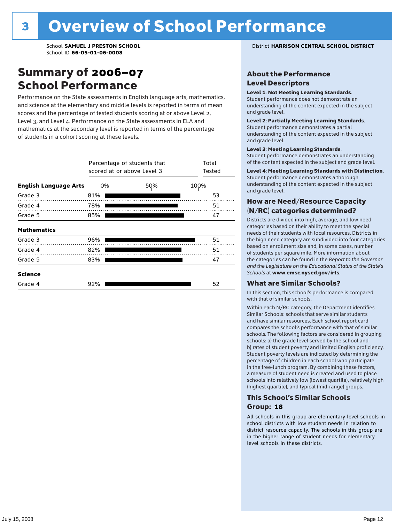### Summary of 2006–07 School Performance

Performance on the State assessments in English language arts, mathematics, and science at the elementary and middle levels is reported in terms of mean scores and the percentage of tested students scoring at or above Level 2, Level 3, and Level 4. Performance on the State assessments in ELA and mathematics at the secondary level is reported in terms of the percentage of students in a cohort scoring at these levels.

|                              |     | Percentage of students that<br>scored at or above Level 3 |      |  |  |  |  |  |  |
|------------------------------|-----|-----------------------------------------------------------|------|--|--|--|--|--|--|
| <b>English Language Arts</b> | 0%  | 50%                                                       | 100% |  |  |  |  |  |  |
| Grade 3                      | 81% |                                                           | 53   |  |  |  |  |  |  |
| Grade 4                      | 78% |                                                           | 51   |  |  |  |  |  |  |
| Grade 5                      | 85% |                                                           | 47   |  |  |  |  |  |  |
| <b>Mathematics</b>           |     |                                                           |      |  |  |  |  |  |  |
| Grade 3                      | 96% |                                                           | 51   |  |  |  |  |  |  |
| Grade 4                      | 82% |                                                           | 51   |  |  |  |  |  |  |
| Grade 5                      | 83% |                                                           | 47   |  |  |  |  |  |  |
| <b>Science</b>               |     |                                                           |      |  |  |  |  |  |  |
| Grade 4                      | 92% |                                                           | 52   |  |  |  |  |  |  |

School **SAMUEL J PRESTON SCHOOL** District **HARRISON CENTRAL SCHOOL DISTRICT**

#### About the Performance Level Descriptors

#### Level 1: Not Meeting Learning Standards.

Student performance does not demonstrate an understanding of the content expected in the subject and grade level.

#### Level 2: Partially Meeting Learning Standards.

Student performance demonstrates a partial understanding of the content expected in the subject and grade level.

#### Level 3: Meeting Learning Standards.

Student performance demonstrates an understanding of the content expected in the subject and grade level.

#### Level 4: Meeting Learning Standards with Distinction.

Student performance demonstrates a thorough understanding of the content expected in the subject and grade level.

#### How are Need/Resource Capacity (N/RC) categories determined?

Districts are divided into high, average, and low need categories based on their ability to meet the special needs of their students with local resources. Districts in the high need category are subdivided into four categories based on enrollment size and, in some cases, number of students per square mile. More information about the categories can be found in the *Report to the Governor and the Legislature on the Educational Status of the State's Schools* at www.emsc.nysed.gov/irts.

#### What are Similar Schools?

In this section, this school's performance is compared with that of similar schools.

Within each N/RC category, the Department identifies Similar Schools: schools that serve similar students and have similar resources. Each school report card compares the school's performance with that of similar schools. The following factors are considered in grouping schools: a) the grade level served by the school and b) rates of student poverty and limited English proficiency. Student poverty levels are indicated by determining the percentage of children in each school who participate in the free-lunch program. By combining these factors, a measure of student need is created and used to place schools into relatively low (lowest quartile), relatively high (highest quartile), and typical (mid-range) groups.

#### This School's Similar Schools Group: **18**

All schools in this group are elementary level schools in school districts with low student needs in relation to district resource capacity. The schools in this group are in the higher range of student needs for elementary level schools in these districts.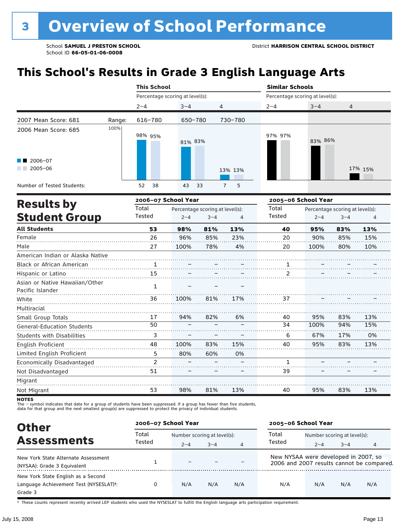# **This School's Results in Grade 3 English Language Arts**

|                                                    |        |         | <b>This School</b> |                                 |                                 |                |                |         | <b>Similar Schools</b> |                                 |                |         |  |
|----------------------------------------------------|--------|---------|--------------------|---------------------------------|---------------------------------|----------------|----------------|---------|------------------------|---------------------------------|----------------|---------|--|
|                                                    |        |         |                    | Percentage scoring at level(s): |                                 |                |                |         |                        | Percentage scoring at level(s): |                |         |  |
|                                                    |        | $2 - 4$ |                    | $3 - 4$                         |                                 | 4              |                | $2 - 4$ |                        | $3 - 4$                         | $\overline{4}$ |         |  |
| 2007 Mean Score: 681                               | Range: |         | 616-780            |                                 | 650-780                         |                | 730-780        |         |                        |                                 |                |         |  |
| 2006 Mean Score: 685                               | 100%   |         | 98% 95%            |                                 | 81% 83%                         |                |                | 97% 97% |                        | 83% 86%                         |                |         |  |
| $\blacksquare$ 2006-07<br>$\sqrt{2005-06}$         |        |         |                    |                                 |                                 | 13% 13%        |                |         |                        |                                 |                | 17% 15% |  |
| Number of Tested Students:                         |        | 52      | 38                 | 43                              | 33                              | $\overline{7}$ | 5              |         |                        |                                 |                |         |  |
| <b>Results by</b>                                  |        |         |                    | 2006-07 School Year             |                                 |                |                |         |                        | 2005-06 School Year             |                |         |  |
|                                                    |        | Total   |                    |                                 | Percentage scoring at level(s): |                |                | Total   |                        | Percentage scoring at level(s): |                |         |  |
| <b>Student Group</b>                               |        | Tested  |                    | $2 - 4$                         | $3 - 4$                         |                | $\overline{4}$ | Tested  |                        | $2 - 4$                         | $3 - 4$        | 4       |  |
| <b>All Students</b>                                |        |         | 53                 | 98%                             | 81%                             |                | 13%            |         | 40                     | 95%                             | 83%            | 13%     |  |
| Female                                             |        |         | 26                 | 96%                             | 85%                             |                | 23%            |         | 20                     | 90%                             | 85%            | 15%     |  |
| Male                                               |        |         | 27                 | 100%                            | 78%                             |                | 4%             |         | 20                     | 100%                            | 80%            | 10%     |  |
| American Indian or Alaska Native                   |        |         |                    |                                 |                                 |                |                |         |                        |                                 |                |         |  |
| Black or African American                          |        |         | 1                  |                                 |                                 |                |                |         | 1<br>. <del>. .</del>  |                                 |                |         |  |
| Hispanic or Latino                                 |        |         | 15                 |                                 |                                 |                |                |         | 2                      |                                 |                |         |  |
| Asian or Native Hawaiian/Other<br>Pacific Islander |        |         | $\mathbf{1}$       |                                 |                                 |                |                |         |                        |                                 |                |         |  |
| White                                              |        |         | 36                 | 100%                            | 81%                             |                | 17%            |         | 37                     |                                 |                |         |  |
| Multiracial                                        |        |         |                    |                                 |                                 |                |                |         |                        |                                 |                |         |  |
| Small Group Totals                                 |        |         | 17                 | 94%                             | 82%                             |                | 6%             |         | 40                     | 95%                             | 83%            | 13%     |  |
| <b>General-Education Students</b>                  |        |         | 50                 |                                 |                                 |                |                |         | 34                     | 100%                            | 94%            | 15%     |  |
| <b>Students with Disabilities</b>                  |        |         | 3                  |                                 |                                 |                |                |         | 6                      | 67%                             | 17%            | 0%      |  |
| English Proficient                                 |        |         | 48                 | 100%                            | 83%                             |                | 15%            |         | 40                     | 95%                             | 83%            | 13%     |  |
| Limited English Proficient                         |        |         | 5                  | 80%                             | 60%                             |                | 0%             |         |                        |                                 |                |         |  |
| Economically Disadvantaged                         |        |         | $\overline{2}$     |                                 |                                 |                |                |         | 1                      |                                 |                |         |  |
| Not Disadvantaged                                  |        |         | 51                 |                                 |                                 |                |                |         | 39                     |                                 |                |         |  |

**NOTES** 

Migrant Not Migrant

The – symbol indicates that data for a group of students have been suppressed. If a group has fewer than five students,<br>data for that group and the next smallest group(s) are suppressed to protect the privacy of individual

| <b>Other</b>                                        | 2006-07 School Year |         |                             |                | 2005-06 School Year                  |                             |         |                                           |
|-----------------------------------------------------|---------------------|---------|-----------------------------|----------------|--------------------------------------|-----------------------------|---------|-------------------------------------------|
| <b>Assessments</b>                                  | Total<br>Tested     |         | Number scoring at level(s): |                |                                      | Number scoring at level(s): |         |                                           |
|                                                     |                     | $2 - 4$ | $3 - 4$                     | $\overline{4}$ | Tested                               | $2 - 4$                     | $3 - 4$ | 4                                         |
| New York State Alternate Assessment                 |                     |         |                             |                | New NYSAA were developed in 2007, so |                             |         |                                           |
| (NYSAA): Grade 3 Equivalent                         |                     | -       |                             |                |                                      |                             |         | 2006 and 2007 results cannot be compared. |
| New York State English as a Second                  |                     |         |                             |                |                                      |                             |         |                                           |
| Language Achievement Test (NYSESLAT) <sup>+</sup> : | 0                   | N/A     | N/A                         | N/A            | N/A                                  | N/A                         | N/A     | N/A                                       |
| Grade 3                                             |                     |         |                             |                |                                      |                             |         |                                           |

81%

13%

40

95%

83%

. . . . . . . . . .

13%

. . . . . . . .

† These counts represent recently arrived LEP students who used the NYSESLAT to fulfill the English language arts participation requirement.

53

98%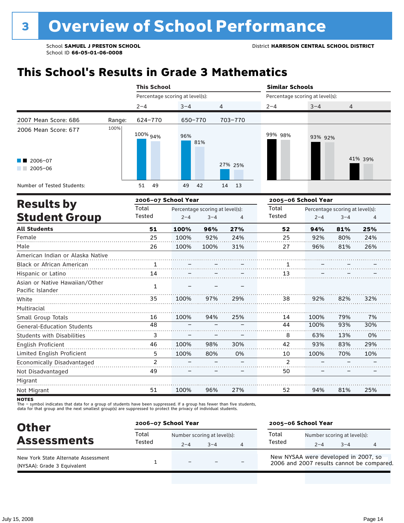## **This School's Results in Grade 3 Mathematics**

|                                                                       | <b>This School</b>  |                                            |                           | <b>Similar Schools</b>          |                     |                                            |         |  |  |
|-----------------------------------------------------------------------|---------------------|--------------------------------------------|---------------------------|---------------------------------|---------------------|--------------------------------------------|---------|--|--|
|                                                                       |                     | Percentage scoring at level(s):            |                           | Percentage scoring at level(s): |                     |                                            |         |  |  |
|                                                                       | $2 - 4$             | $3 - 4$                                    | 4                         | $2 - 4$                         | $3 - 4$             | 4                                          |         |  |  |
| 2007 Mean Score: 686<br>Range:                                        | 624-770             | 650-770                                    | 703-770                   |                                 |                     |                                            |         |  |  |
| 100%<br>2006 Mean Score: 677<br>$\blacksquare$ 2006-07<br>$2005 - 06$ | 100% <sub>94%</sub> | 96%<br>81%                                 | 27% 25%                   | 99% 98%                         | 93% 92%             |                                            | 41% 39% |  |  |
| Number of Tested Students:                                            | 49<br>51            | 49<br>42                                   | 14<br>13                  |                                 |                     |                                            |         |  |  |
|                                                                       | 2006-07 School Year |                                            |                           |                                 | 2005-06 School Year |                                            |         |  |  |
| <b>Results by</b><br><b>Student Group</b>                             | Total<br>Tested     | Percentage scoring at level(s):<br>$2 - 4$ | $3 - 4$<br>$\overline{4}$ | Total<br>Tested                 | $2 - 4$             | Percentage scoring at level(s):<br>$3 - 4$ | 4       |  |  |
| <b>All Students</b>                                                   | 51                  | 100%<br>96%                                | 27%                       | 52                              | 94%                 | 81%                                        | 25%     |  |  |
| Female                                                                | 25                  | 100%                                       | 92%<br>24%                | 25                              | 92%                 | 80%                                        | 24%     |  |  |

| Male                              | 26            | 100% | 100% | 31% | 27             | 96%  | 81% | 26% |
|-----------------------------------|---------------|------|------|-----|----------------|------|-----|-----|
| American Indian or Alaska Native  |               |      |      |     |                |      |     |     |
| Black or African American         | 1             |      |      |     |                |      |     |     |
| Hispanic or Latino                | 14            |      |      |     | 13             |      |     |     |
| Asian or Native Hawaiian/Other    | 1             |      |      |     |                |      |     |     |
| Pacific Islander                  |               |      |      |     |                |      |     |     |
| White                             | 35            | 100% | 97%  | 29% | 38             | 92%  | 82% | 32% |
| Multiracial                       |               |      |      |     |                |      |     |     |
| Small Group Totals                | 16            | 100% | 94%  | 25% | 14             | 100% | 79% | 7%  |
| <b>General-Education Students</b> | 48            |      |      |     | 44             | 100% | 93% | 30% |
| <b>Students with Disabilities</b> | 3             |      |      |     | 8              | 63%  | 13% | 0%  |
| English Proficient                | 46            | 100% | 98%  | 30% | 42             | 93%  | 83% | 29% |
| Limited English Proficient        | 5             | 100% | 80%  | 0%  | 10             | 100% | 70% | 10% |
| Economically Disadvantaged        | $\mathcal{P}$ |      |      |     | $\mathfrak{p}$ |      |     |     |
| Not Disadvantaged                 | 49            |      |      |     | 50             |      |     |     |
| Migrant                           |               |      |      |     |                |      |     |     |
| Not Migrant                       | 51            | 100% | 96%  | 27% | 52             | 94%  | 81% | 25% |

**NOTES** 

The – symbol indicates that data for a group of students have been suppressed. If a group has fewer than five students,<br>data for that group and the next smallest group(s) are suppressed to protect the privacy of individual

| <b>Other</b>                                                       | 2006-07 School Year |                                                     |  |  | 2005-06 School Year                                                               |         |                                        |  |  |
|--------------------------------------------------------------------|---------------------|-----------------------------------------------------|--|--|-----------------------------------------------------------------------------------|---------|----------------------------------------|--|--|
| <b>Assessments</b>                                                 | Total<br>Tested     | Number scoring at level(s):<br>$-4$<br>$2 - 4$<br>4 |  |  | Total<br>Tested                                                                   | $2 - 4$ | Number scoring at level(s):<br>$3 - 4$ |  |  |
| New York State Alternate Assessment<br>(NYSAA): Grade 3 Equivalent |                     | $\overline{\phantom{0}}$                            |  |  | New NYSAA were developed in 2007, so<br>2006 and 2007 results cannot be compared. |         |                                        |  |  |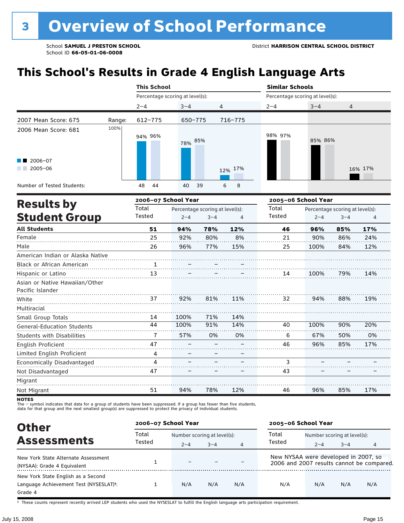# **This School's Results in Grade 4 English Language Arts**

|                                                    |        | <b>This School</b> |                                 |                                 |         | <b>Similar Schools</b>          |         |                                 |         |  |
|----------------------------------------------------|--------|--------------------|---------------------------------|---------------------------------|---------|---------------------------------|---------|---------------------------------|---------|--|
|                                                    |        |                    | Percentage scoring at level(s): |                                 |         | Percentage scoring at level(s): |         |                                 |         |  |
|                                                    |        | $2 - 4$            | $3 - 4$                         | 4                               |         | $2 - 4$                         | $3 - 4$ | 4                               |         |  |
| 2007 Mean Score: 675                               | Range: | 612-775            | 650-775                         |                                 | 716-775 |                                 |         |                                 |         |  |
| 2006 Mean Score: 681                               | 100%   | 94% 96%            | 78% 85%                         |                                 |         | 98% 97%                         | 85% 86% |                                 |         |  |
| $2006 - 07$<br>$\sqrt{2005-06}$                    |        |                    |                                 |                                 | 12% 17% |                                 |         |                                 | 16% 17% |  |
| Number of Tested Students:                         |        | 48<br>44           | 40                              | 39                              | 8<br>6  |                                 |         |                                 |         |  |
| <b>Results by</b>                                  |        |                    | 2006-07 School Year             |                                 |         | 2005-06 School Year             |         |                                 |         |  |
|                                                    |        | Total              |                                 | Percentage scoring at level(s): |         | Total                           |         | Percentage scoring at level(s): |         |  |
| <b>Student Group</b>                               |        | Tested             | $2 - 4$                         | $3 - 4$                         | 4       | Tested                          | $2 - 4$ | $3 - 4$                         |         |  |
| <b>All Students</b>                                |        | 51                 | 94%                             | 78%                             | 12%     | 46                              | 96%     | 85%                             | 17%     |  |
| Female                                             |        | 25                 | 92%                             | 80%                             | 8%      | 21                              | 90%     | 86%                             | 24%     |  |
| Male                                               |        | 26                 | 96%                             | 77%                             | 15%     | 25                              | 100%    | 84%                             | 12%     |  |
| American Indian or Alaska Native                   |        |                    |                                 |                                 |         |                                 |         |                                 |         |  |
| <b>Black or African American</b>                   |        | 1                  |                                 |                                 |         |                                 |         |                                 |         |  |
| Hispanic or Latino                                 |        | 13                 |                                 |                                 |         | 14                              | 100%    | 79%                             | 14%     |  |
| Asian or Native Hawaiian/Other<br>Pacific Islander |        |                    |                                 |                                 |         |                                 |         |                                 |         |  |
| White                                              |        | 37                 | 92%                             | 81%                             | 11%     | 32                              | 94%     | 88%                             | 19%     |  |
| Multiracial                                        |        |                    |                                 |                                 |         |                                 |         |                                 |         |  |
| Small Group Totals                                 |        | 14                 | 100%                            | 71%                             | 14%     |                                 |         |                                 |         |  |
| <b>General-Education Students</b>                  |        | 44                 | 100%                            | 91%                             | 14%     | 40                              | 100%    | 90%                             | 20%     |  |
| <b>Students with Disabilities</b>                  |        | $\overline{1}$     | 57%                             | 0%                              | 0%      | 6                               | 67%     | 50%                             | 0%      |  |
| English Proficient                                 |        | 47                 |                                 |                                 |         | 46                              | 96%     | 85%                             | 17%     |  |
| Limited English Proficient                         |        | 4                  |                                 |                                 |         |                                 |         |                                 |         |  |
| Economically Disadvantaged                         |        | 4                  |                                 |                                 |         | 3                               |         |                                 |         |  |
| Not Disadvantaged                                  |        | 47                 |                                 |                                 |         | 43                              |         |                                 |         |  |

**NOTES** 

Migrant Not Migrant

51

94%

The – symbol indicates that data for a group of students have been suppressed. If a group has fewer than five students,<br>data for that group and the next smallest group(s) are suppressed to protect the privacy of individual

| <b>Other</b>                           | 2006-07 School Year |                             |         |                | 2005-06 School Year                  |                             |         |                                           |  |
|----------------------------------------|---------------------|-----------------------------|---------|----------------|--------------------------------------|-----------------------------|---------|-------------------------------------------|--|
|                                        | Total               | Number scoring at level(s): |         |                | Total                                | Number scoring at level(s): |         |                                           |  |
| <b>Assessments</b>                     | Tested              | $2 - 4$                     | $3 - 4$ | $\overline{4}$ | Tested                               | $2 - 4$                     | $3 - 4$ | 4                                         |  |
| New York State Alternate Assessment    |                     |                             |         |                | New NYSAA were developed in 2007, so |                             |         |                                           |  |
| (NYSAA): Grade 4 Equivalent            |                     | $\overline{\phantom{0}}$    |         |                |                                      |                             |         | 2006 and 2007 results cannot be compared. |  |
| New York State English as a Second     |                     |                             |         |                |                                      |                             |         |                                           |  |
| Language Achievement Test (NYSESLAT)t: |                     | N/A                         | N/A     | N/A            | N/A                                  | N/A                         | N/A     | N/A                                       |  |
| Grade 4                                |                     |                             |         |                |                                      |                             |         |                                           |  |

78%

12%

46

96%

85%

17%

. . . . . . . .

† These counts represent recently arrived LEP students who used the NYSESLAT to fulfill the English language arts participation requirement.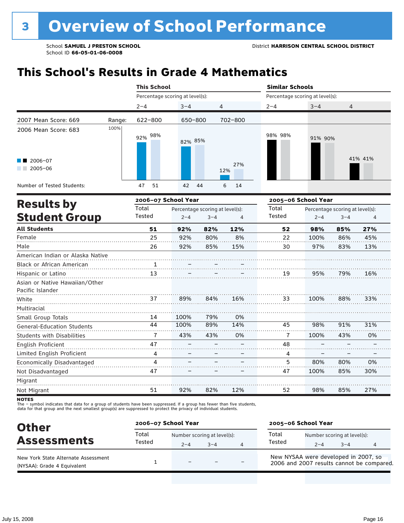## **This School's Results in Grade 4 Mathematics**

|                                  |        | <b>This School</b>  |                                 |         |            | <b>Similar Schools</b>          |                                 |         |         |  |  |
|----------------------------------|--------|---------------------|---------------------------------|---------|------------|---------------------------------|---------------------------------|---------|---------|--|--|
|                                  |        |                     | Percentage scoring at level(s): |         |            | Percentage scoring at level(s): |                                 |         |         |  |  |
|                                  |        | $2 - 4$             | $3 - 4$                         | 4       |            | $2 - 4$                         | $3 - 4$                         | 4       |         |  |  |
| 2007 Mean Score: 669             | Range: | $622 - 800$         | 650-800                         |         | 702-800    |                                 |                                 |         |         |  |  |
| 2006 Mean Score: 683             | 100%   | 92% 98%             | 82% 85%                         |         |            | 98% 98%                         | 91% 90%                         |         |         |  |  |
| 2006-07<br>$2005 - 06$           |        |                     |                                 |         | 27%<br>12% |                                 |                                 |         | 41% 41% |  |  |
| Number of Tested Students:       |        | 51<br>47            | 42                              | 44      | 6<br>14    |                                 |                                 |         |         |  |  |
|                                  |        | 2006-07 School Year |                                 |         |            |                                 | 2005-06 School Year             |         |         |  |  |
| <b>Results by</b>                |        | Total               | Percentage scoring at level(s): |         |            | Total                           | Percentage scoring at level(s): |         |         |  |  |
| <b>Student Group</b>             |        | Tested              | $2 - 4$                         | $3 - 4$ | 4          | Tested                          | $2 - 4$                         | $3 - 4$ | 4       |  |  |
| <b>All Students</b>              |        | 51                  | 92%                             | 82%     | 12%        | 52                              | 98%                             | 85%     | 27%     |  |  |
| Female                           |        | 25                  | 92%                             | 80%     | 8%         | 22                              | 100%                            | 86%     | 45%     |  |  |
| Male                             |        | 26                  | 92%                             | 85%     | 15%        | 30                              | 97%                             | 83%     | 13%     |  |  |
| American Indian or Alaska Native |        |                     |                                 |         |            |                                 |                                 |         |         |  |  |
| Black or African American        |        |                     |                                 |         |            |                                 |                                 |         |         |  |  |
| Hispanic or Latino               |        | 13                  |                                 |         |            | 19                              | 95%                             | 79%     | 16%     |  |  |
| Asian or Native Hawaiian/Other   |        |                     |                                 |         |            |                                 |                                 |         |         |  |  |
| Pacific Islander                 |        |                     |                                 |         |            |                                 |                                 |         |         |  |  |
| White                            |        | 37                  | 89%                             | 84%     | 16%        | 33                              | 100%                            | 88%     | 33%     |  |  |
| Multiracial                      |        |                     |                                 |         |            |                                 |                                 |         |         |  |  |

Migrant Not Migrant

Small Group Totals

English Proficient

Not Disadvantaged

General-Education Students Students with Disabilities

Limited English Proficient Economically Disadvantaged

The – symbol indicates that data for a group of students have been suppressed. If a group has fewer than five students,

100% 100% 43% – – – –

79% 89% 43% – –  $\overline{\mathbb{Z}}$ . –

0% 14% 0% – – – –

98% 100% – – 80% 100%

91% 43% – – 80% 85%

31% 0% – – 0% 30%

27%

. . . . . . . .

85%

98%

52

12%

82%

92%

51

data for that group and the next smallest group(s) are suppressed to protect the privacy of individual students.

| <b>Other</b>                                                       | 2006-07 School Year |                          |                                        |   | 2005-06 School Year                                                               |         |                                        |  |  |
|--------------------------------------------------------------------|---------------------|--------------------------|----------------------------------------|---|-----------------------------------------------------------------------------------|---------|----------------------------------------|--|--|
| <b>Assessments</b>                                                 | Total<br>Tested     | $2 - 4$                  | Number scoring at level(s):<br>$3 - 4$ | 4 | Total<br>Tested                                                                   | $2 - 4$ | Number scoring at level(s):<br>$3 - 4$ |  |  |
| New York State Alternate Assessment<br>(NYSAA): Grade 4 Equivalent |                     | $\overline{\phantom{0}}$ |                                        |   | New NYSAA were developed in 2007, so<br>2006 and 2007 results cannot be compared. |         |                                        |  |  |

**NOTES**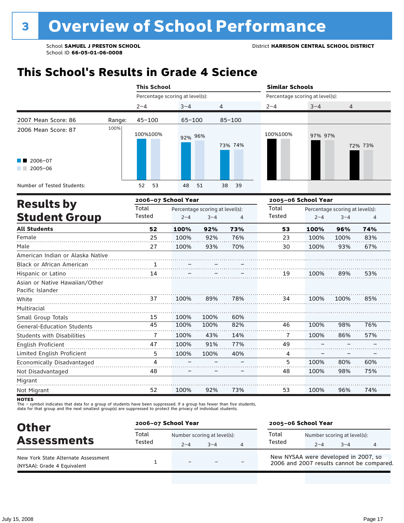## **This School's Results in Grade 4 Science**

|                                                    |        | <b>This School</b>              |            |                                 |                                 | <b>Similar Schools</b> |         |                                 |         |  |
|----------------------------------------------------|--------|---------------------------------|------------|---------------------------------|---------------------------------|------------------------|---------|---------------------------------|---------|--|
|                                                    |        | Percentage scoring at level(s): |            |                                 | Percentage scoring at level(s): |                        |         |                                 |         |  |
|                                                    |        | $2 - 4$                         | $3 - 4$    | 4                               |                                 | $2 - 4$                | $3 - 4$ | 4                               |         |  |
| 2007 Mean Score: 86                                | Range: | $45 - 100$                      | $65 - 100$ |                                 | $85 - 100$                      |                        |         |                                 |         |  |
| 2006 Mean Score: 87                                | 100%   | 100%100%                        | 92% 96%    |                                 | 73% 74%                         | 100%100%               | 97% 97% |                                 | 72% 73% |  |
| $2006 - 07$<br>$2005 - 06$                         |        |                                 |            |                                 |                                 |                        |         |                                 |         |  |
| Number of Tested Students:                         |        | 52<br>53                        | 48         | 51                              | 38<br>39                        |                        |         |                                 |         |  |
| <b>Results by</b>                                  |        | 2006-07 School Year             |            |                                 |                                 | 2005-06 School Year    |         |                                 |         |  |
|                                                    |        | Total                           |            | Percentage scoring at level(s): |                                 | Total                  |         | Percentage scoring at level(s): |         |  |
| <b>Student Group</b>                               |        | Tested                          | $2 - 4$    | $3 - 4$                         | $\overline{4}$                  | Tested                 | $2 - 4$ | $3 - 4$                         | 4       |  |
| <b>All Students</b>                                |        | 52                              | 100%       | 92%                             | 73%                             | 53                     | 100%    | 96%                             | 74%     |  |
| Female                                             |        | 25                              | 100%       | 92%                             | 76%                             | 23                     | 100%    | 100%                            | 83%     |  |
| Male                                               |        | 27                              | 100%       | 93%                             | 70%                             | 30                     | 100%    | 93%                             | 67%     |  |
| American Indian or Alaska Native                   |        |                                 |            |                                 |                                 |                        |         |                                 |         |  |
| Black or African American                          |        | 1                               |            |                                 |                                 |                        |         |                                 |         |  |
| Hispanic or Latino                                 |        | 14                              |            |                                 |                                 | 19                     | 100%    | 89%                             | 53%     |  |
| Asian or Native Hawaiian/Other<br>Pacific Islander |        |                                 |            |                                 |                                 |                        |         |                                 |         |  |
| White                                              |        | 37                              | 100%       | 89%                             | 78%                             | 34                     | 100%    | 100%                            | 85%     |  |
| Multiracial                                        |        |                                 |            |                                 |                                 |                        |         |                                 |         |  |
| Small Group Totals                                 |        | 15                              | 100%       | 100%                            | 60%                             |                        |         |                                 |         |  |
| <b>General-Education Students</b>                  |        | 45                              | 100%       | 100%                            | 82%                             | 46                     | 100%    | 98%                             | 76%     |  |
| Students with Disabilities                         |        | 7                               | 100%       | 43%                             | 14%                             | 7                      | 100%    | 86%                             | 57%     |  |
| English Proficient                                 |        | 47                              | 100%       | 91%                             | 77%                             | 49                     |         |                                 |         |  |
| Limited English Proficient                         |        | 5                               | 100%       | 100%                            | 40%                             | 4                      |         |                                 |         |  |
| Economically Disadvantaged                         |        | 4                               |            |                                 |                                 | 5                      | 100%    | 80%                             | 60%     |  |
| Not Disadvantaged                                  |        | 48                              |            |                                 |                                 | 48                     | 100%    | 98%                             | 75%     |  |
| Migrant                                            |        |                                 |            |                                 |                                 |                        |         |                                 |         |  |
| Not Migrant                                        |        | 52                              | 100%       | 92%                             | 73%                             | 53                     | 100%    | 96%                             | 74%     |  |

**NOTES** 

The – symbol indicates that data for a group of students have been suppressed. If a group has fewer than five students,<br>data for that group and the next smallest group(s) are suppressed to protect the privacy of individual

| <b>Other</b>                                                       | 2006-07 School Year |                                        |      |                | 2005-06 School Year                                                               |         |                                        |  |  |
|--------------------------------------------------------------------|---------------------|----------------------------------------|------|----------------|-----------------------------------------------------------------------------------|---------|----------------------------------------|--|--|
| <b>Assessments</b>                                                 | Total<br>Tested     | Number scoring at level(s):<br>$2 - 4$ | $-4$ | $\overline{4}$ | Total<br>Tested                                                                   | $2 - 4$ | Number scoring at level(s):<br>$3 - 4$ |  |  |
| New York State Alternate Assessment<br>(NYSAA): Grade 4 Equivalent |                     | $\equiv$                               |      |                | New NYSAA were developed in 2007, so<br>2006 and 2007 results cannot be compared. |         |                                        |  |  |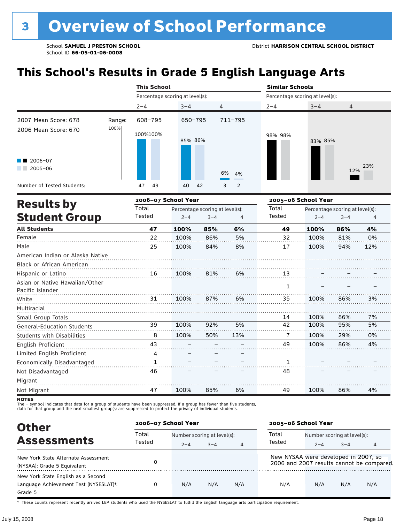# **This School's Results in Grade 5 English Language Arts**

|                                                    |        | <b>This School</b>              |         |                                 |             | <b>Similar Schools</b>          |                                 |         |     |  |  |
|----------------------------------------------------|--------|---------------------------------|---------|---------------------------------|-------------|---------------------------------|---------------------------------|---------|-----|--|--|
|                                                    |        | Percentage scoring at level(s): |         |                                 |             | Percentage scoring at level(s): |                                 |         |     |  |  |
|                                                    |        | $2 - 4$                         | $3 - 4$ |                                 | 4           | $2 - 4$                         | $3 - 4$                         | 4       |     |  |  |
| 2007 Mean Score: 678                               | Range: | 608-795                         |         | $650 - 795$                     | $711 - 795$ |                                 |                                 |         |     |  |  |
| 2006 Mean Score: 670                               | 100%   | 100%100%                        | 85% 86% |                                 |             | 98% 98%                         | 83% 85%                         |         |     |  |  |
| 2006-07<br>$2005 - 06$                             |        |                                 |         |                                 | 6%<br>4%    |                                 |                                 | 12%     | 23% |  |  |
| Number of Tested Students:                         |        | 47<br>49                        | 40      | 42                              | 2<br>3      |                                 |                                 |         |     |  |  |
|                                                    |        | 2006-07 School Year             |         |                                 |             |                                 | 2005-06 School Year             |         |     |  |  |
| <b>Results by</b>                                  |        | Total                           |         | Percentage scoring at level(s): |             | Total                           | Percentage scoring at level(s): |         |     |  |  |
| <b>Student Group</b>                               |        | Tested                          | $2 - 4$ | $3 - 4$                         | 4           | Tested                          | $2 - 4$                         | $3 - 4$ | 4   |  |  |
| <b>All Students</b>                                |        | 47                              | 100%    | 85%                             | 6%          | 49                              | 100%                            | 86%     | 4%  |  |  |
| Female                                             |        | 22                              | 100%    | 86%                             | 5%          | 32                              | 100%                            | 81%     | 0%  |  |  |
| Male                                               |        | 25                              | 100%    | 84%                             | 8%          | 17                              | 100%                            | 94%     | 12% |  |  |
| American Indian or Alaska Native                   |        |                                 |         |                                 |             |                                 |                                 |         |     |  |  |
| Black or African American                          |        |                                 |         |                                 |             |                                 |                                 |         |     |  |  |
| Hispanic or Latino                                 |        | 16                              | 100%    | 81%                             | 6%          | 13                              |                                 |         |     |  |  |
| Asian or Native Hawaiian/Other<br>Pacific Islander |        |                                 |         |                                 |             | 1                               |                                 |         |     |  |  |
| White                                              |        | 31                              | 100%    | 87%                             | 6%          | 35                              | 100%                            | 86%     | 3%  |  |  |
| Multiracial                                        |        |                                 |         |                                 |             |                                 |                                 |         |     |  |  |

Migrant Not Migrant

Small Group Totals

English Proficient

Not Disadvantaged

General-Education Students Students with Disabilities

Limited English Proficient Economically Disadvantaged

The – symbol indicates that data for a group of students have been suppressed. If a group has fewer than five students,

100% 100% – – – –

92% 50% – – – –

5% 13% – – – –

100% 100% 100% 100%

86% 95% 29% 86%

7% 5% 0% 4%

> – –

4%

. . . . . . . . .

– –

86%

. . . . . . .

– –

100%

1 48

49

6%

85%

100%

47

data for that group and the next smallest group(s) are suppressed to protect the privacy of individual students.

| <b>Other</b>                                                                                         | 2006-07 School Year |                             |         |                | 2005-06 School Year                  |                             |         |                                           |
|------------------------------------------------------------------------------------------------------|---------------------|-----------------------------|---------|----------------|--------------------------------------|-----------------------------|---------|-------------------------------------------|
|                                                                                                      | Total               | Number scoring at level(s): |         |                | Total                                | Number scoring at level(s): |         |                                           |
| <b>Assessments</b>                                                                                   | Tested              | $2 - 4$                     | $3 - 4$ | $\overline{4}$ | Tested                               | $2 - 4$                     | $3 - 4$ | 4                                         |
| New York State Alternate Assessment<br>(NYSAA): Grade 5 Equivalent                                   |                     |                             |         |                | New NYSAA were developed in 2007, so |                             |         | 2006 and 2007 results cannot be compared. |
| New York State English as a Second<br>Language Achievement Test (NYSESLAT) <sup>t</sup> :<br>Grade 5 |                     | N/A                         | N/A     | N/A            | N/A                                  | N/A                         | N/A     | N/A                                       |

† These counts represent recently arrived LEP students who used the NYSESLAT to fulfill the English language arts participation requirement.

**NOTES**